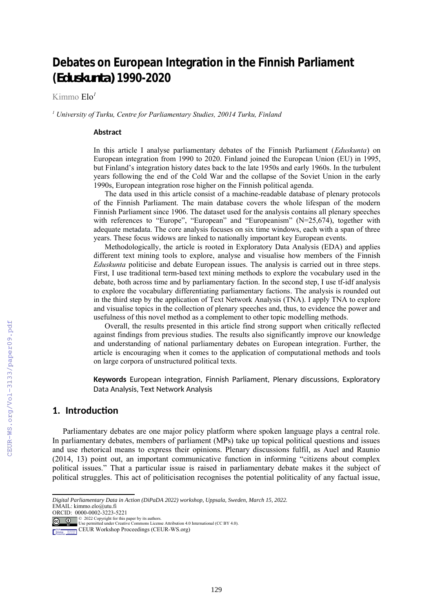# **Debates on European Integration in the Finnish Parliament (***Eduskunta)* **1990-2020**

Kimmo Elo*<sup>1</sup>*

*1 University of Turku, Centre for Parliamentary Studies, 20014 Turku, Finland*

#### **Abstract**

In this article I analyse parliamentary debates of the Finnish Parliament (*Eduskunta*) on European integration from 1990 to 2020. Finland joined the European Union (EU) in 1995, but Finland's integration history dates back to the late 1950s and early 1960s. In the turbulent years following the end of the Cold War and the collapse of the Soviet Union in the early 1990s, European integration rose higher on the Finnish political agenda.

The data used in this article consist of a machine-readable database of plenary protocols of the Finnish Parliament. The main database covers the whole lifespan of the modern Finnish Parliament since 1906. The dataset used for the analysis contains all plenary speeches with references to "Europe", "European" and "Europeanism" (N=25,674), together with adequate metadata. The core analysis focuses on six time windows, each with a span of three years. These focus widows are linked to nationally important key European events.

Methodologically, the article is rooted in Exploratory Data Analysis (EDA) and applies different text mining tools to explore, analyse and visualise how members of the Finnish *Eduskunta* politicise and debate European issues. The analysis is carried out in three steps. First, I use traditional term-based text mining methods to explore the vocabulary used in the debate, both across time and by parliamentary faction. In the second step, I use tf-idf analysis to explore the vocabulary differentiating parliamentary factions. The analysis is rounded out in the third step by the application of Text Network Analysis (TNA). I apply TNA to explore and visualise topics in the collection of plenary speeches and, thus, to evidence the power and usefulness of this novel method as a complement to other topic modelling methods.

Overall, the results presented in this article find strong support when critically reflected against findings from previous studies. The results also significantly improve our knowledge and understanding of national parliamentary debates on European integration. Further, the article is encouraging when it comes to the application of computational methods and tools on large corpora of unstructured political texts.

<span id="page-0-0"></span>**Keywords** European integration, Finnish Parliament, Plenary discussions, Exploratory Data Analysis, Text Network An[al](#page-0-1)ysis<sup>1</sup>

# **1. Introduction**

Parliamentary debates are one major policy platform where spoken language plays a central role. In parliamentary debates, members of parliament (MPs) take up topical political questions and issues and use rhetorical means to express their opinions. Plenary discussions fulfil, as Auel and Raunio (2014, 13) point out, an important communicative function in informing "citizens about complex political issues." That a particular issue is raised in parliamentary debate makes it the subject of political struggles. This act of politicisation recognises the potential politicality of any factual issue,

ORCID: 0000-0002-3223-5221

© 2022 Copyright for this paper by its authors. Use permitted under Creative Commons License Attribution 4.0 International (CC BY 4.0).

<span id="page-0-1"></span>*[D](#page-0-0)igital Parliamentary Data in Action (DiPaDA 2022) workshop, Uppsala, Sweden, March 15, 2022.* EMAIL: kimmo.elo@utu.fi

CEUR Workshop Proceedings (CEUR-WS.org)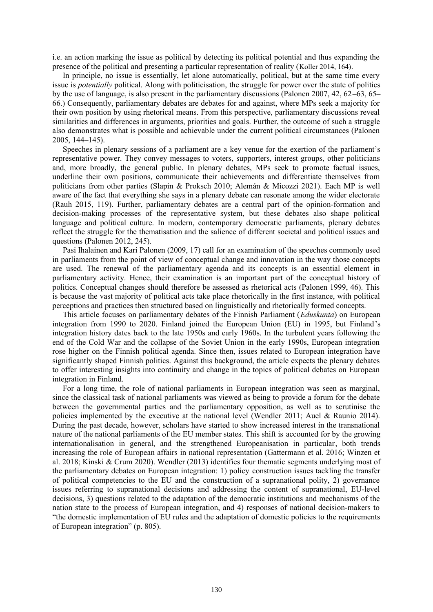i.e. an action marking the issue as political by detecting its political potential and thus expanding the presence of the political and presenting a particular representation of reality (Koller 2014, 164).

In principle, no issue is essentially, let alone automatically, political, but at the same time every issue is *potentially* political. Along with politicisation, the struggle for power over the state of politics by the use of language, is also present in the parliamentary discussions (Palonen 2007, 42, 62–63, 65– 66.) Consequently, parliamentary debates are debates for and against, where MPs seek a majority for their own position by using rhetorical means. From this perspective, parliamentary discussions reveal similarities and differences in arguments, priorities and goals. Further, the outcome of such a struggle also demonstrates what is possible and achievable under the current political circumstances (Palonen 2005, 144–145).

Speeches in plenary sessions of a parliament are a key venue for the exertion of the parliament's representative power. They convey messages to voters, supporters, interest groups, other politicians and, more broadly, the general public. In plenary debates, MPs seek to promote factual issues, underline their own positions, communicate their achievements and differentiate themselves from politicians from other parties (Slapin & Proksch 2010; Alemán & Micozzi 2021). Each MP is well aware of the fact that everything she says in a plenary debate can resonate among the wider electorate (Rauh 2015, 119). Further, parliamentary debates are a central part of the opinion-formation and decision-making processes of the representative system, but these debates also shape political language and political culture. In modern, contemporary democratic parliaments, plenary debates reflect the struggle for the thematisation and the salience of different societal and political issues and questions (Palonen 2012, 245).

Pasi Ihalainen and Kari Palonen (2009, 17) call for an examination of the speeches commonly used in parliaments from the point of view of conceptual change and innovation in the way those concepts are used. The renewal of the parliamentary agenda and its concepts is an essential element in parliamentary activity. Hence, their examination is an important part of the conceptual history of politics. Conceptual changes should therefore be assessed as rhetorical acts (Palonen 1999, 46). This is because the vast majority of political acts take place rhetorically in the first instance, with political perceptions and practices then structured based on linguistically and rhetorically formed concepts.

This article focuses on parliamentary debates of the Finnish Parliament (*Eduskunta*) on European integration from 1990 to 2020. Finland joined the European Union (EU) in 1995, but Finland's integration history dates back to the late 1950s and early 1960s. In the turbulent years following the end of the Cold War and the collapse of the Soviet Union in the early 1990s, European integration rose higher on the Finnish political agenda. Since then, issues related to European integration have significantly shaped Finnish politics. Against this background, the article expects the plenary debates to offer interesting insights into continuity and change in the topics of political debates on European integration in Finland.

For a long time, the role of national parliaments in European integration was seen as marginal, since the classical task of national parliaments was viewed as being to provide a forum for the debate between the governmental parties and the parliamentary opposition, as well as to scrutinise the policies implemented by the executive at the national level (Wendler 2011; Auel & Raunio 2014). During the past decade, however, scholars have started to show increased interest in the transnational nature of the national parliaments of the EU member states. This shift is accounted for by the growing internationalisation in general, and the strengthened Europeanisation in particular, both trends increasing the role of European affairs in national representation (Gattermann et al. 2016; Winzen et al. 2018; Kinski & Crum 2020). Wendler (2013) identifies four thematic segments underlying most of the parliamentary debates on European integration: 1) policy construction issues tackling the transfer of political competencies to the EU and the construction of a supranational polity, 2) governance issues referring to supranational decisions and addressing the content of supranational, EU-level decisions, 3) questions related to the adaptation of the democratic institutions and mechanisms of the nation state to the process of European integration, and 4) responses of national decision-makers to "the domestic implementation of EU rules and the adaptation of domestic policies to the requirements of European integration" (p. 805).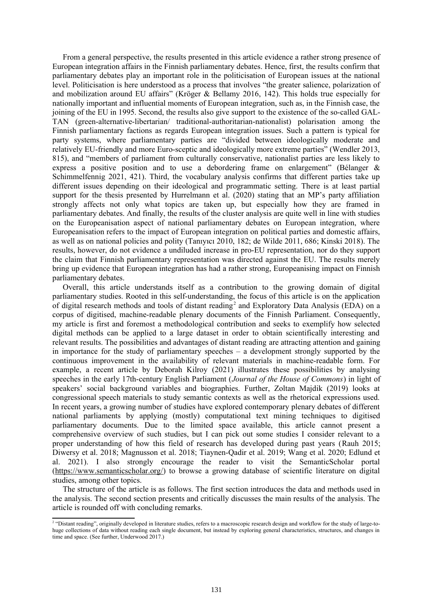From a general perspective, the results presented in this article evidence a rather strong presence of European integration affairs in the Finnish parliamentary debates. Hence, first, the results confirm that parliamentary debates play an important role in the politicisation of European issues at the national level. Politicisation is here understood as a process that involves "the greater salience, polarization of and mobilization around EU affairs" (Kröger & Bellamy 2016, 142). This holds true especially for nationally important and influential moments of European integration, such as, in the Finnish case, the joining of the EU in 1995. Second, the results also give support to the existence of the so-called GAL-TAN (green-alternative-libertarian/ traditional-authoritarian-nationalist) polarisation among the Finnish parliamentary factions as regards European integration issues. Such a pattern is typical for party systems, where parliamentary parties are "divided between ideologically moderate and relatively EU-friendly and more Euro-sceptic and ideologically more extreme parties" (Wendler 2013, 815), and "members of parliament from culturally conservative, nationalist parties are less likely to express a positive position and to use a debordering frame on enlargement" (Bélanger & Schimmelfennig 2021, 421). Third, the vocabulary analysis confirms that different parties take up different issues depending on their ideological and programmatic setting. There is at least partial support for the thesis presented by Hurrelmann et al. (2020) stating that an MP's party affiliation strongly affects not only what topics are taken up, but especially how they are framed in parliamentary debates. And finally, the results of the cluster analysis are quite well in line with studies on the Europeanisation aspect of national parliamentary debates on European integration, where Europeanisation refers to the impact of European integration on political parties and domestic affairs, as well as on national policies and polity (Tanıyıcı 2010, 182; de Wilde 2011, 686; Kinski 2018). The results, however, do not evidence a undiluded increase in pro-EU representation, nor do they support the claim that Finnish parliamentary representation was directed against the EU. The results merely bring up evidence that European integration has had a rather strong, Europeanising impact on Finnish parliamentary debates.

<span id="page-2-0"></span>Overall, this article understands itself as a contribution to the growing domain of digital parliamentary studies. Rooted in this self-understanding, the focus of this article is on the application of digital research methods and tools of distant reading<sup>[2](#page-2-1)</sup> and Exploratory Data Analysis (EDA) on a corpus of digitised, machine-readable plenary documents of the Finnish Parliament. Consequently, my article is first and foremost a methodological contribution and seeks to exemplify how selected digital methods can be applied to a large dataset in order to obtain scientifically interesting and relevant results. The possibilities and advantages of distant reading are attracting attention and gaining in importance for the study of parliamentary speeches – a development strongly supported by the continuous improvement in the availability of relevant materials in machine-readable form. For example, a recent article by Deborah Kilroy (2021) illustrates these possibilities by analysing speeches in the early 17th-century English Parliament (*Journal of the House of Commons*) in light of speakers' social background variables and biographies. Further, Zoltan Majdik (2019) looks at congressional speech materials to study semantic contexts as well as the rhetorical expressions used. In recent years, a growing number of studies have explored contemporary plenary debates of different national parliaments by applying (mostly) computational text mining techniques to digitised parliamentary documents. Due to the limited space available, this article cannot present a comprehensive overview of such studies, but I can pick out some studies I consider relevant to a proper understanding of how this field of research has developed during past years (Rauh 2015; Diwersy et al. 2018; Magnusson et al. 2018; Tiaynen-Qadir et al. 2019; Wang et al. 2020; Edlund et al. 2021). I also strongly encourage the reader to visit the SemanticScholar portal (<https://www.semanticscholar.org/>) to browse a growing database of scientific literature on digital studies, among other topics.

The structure of the article is as follows. The first section introduces the data and methods used in the analysis. The second section presents and critically discusses the main results of the analysis. The article is rounded off with concluding remarks.

<span id="page-2-1"></span><sup>&</sup>lt;sup>[2](#page-2-0)</sup> "Distant reading", originally developed in literature studies, refers to a macroscopic research design and workflow for the study of large-tohuge collections of data without reading each single document, but instead by exploring general characteristics, structures, and changes in time and space. (See further, Underwood 2017.)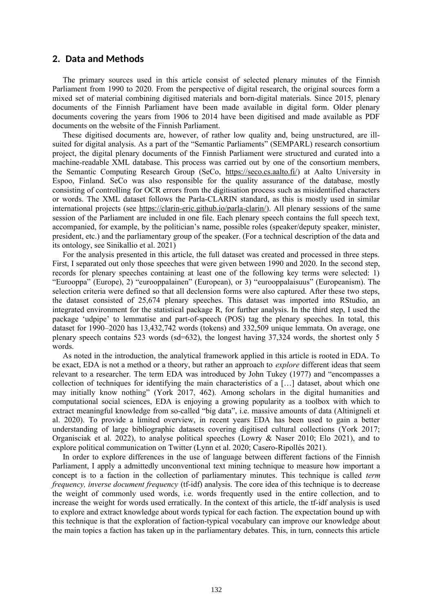## **2. Data and Methods**

The primary sources used in this article consist of selected plenary minutes of the Finnish Parliament from 1990 to 2020. From the perspective of digital research, the original sources form a mixed set of material combining digitised materials and born-digital materials. Since 2015, plenary documents of the Finnish Parliament have been made available in digital form. Older plenary documents covering the years from 1906 to 2014 have been digitised and made available as PDF documents on the website of the Finnish Parliament.

These digitised documents are, however, of rather low quality and, being unstructured, are illsuited for digital analysis. As a part of the "Semantic Parliaments" (SEMPARL) research consortium project, the digital plenary documents of the Finnish Parliament were structured and curated into a machine-readable XML database. This process was carried out by one of the consortium members, the Semantic Computing Research Group (SeCo, [https://seco.cs.aalto.fi/\)](https://seco.cs.aalto.fi/) at Aalto University in Espoo, Finland. SeCo was also responsible for the quality assurance of the database, mostly consisting of controlling for OCR errors from the digitisation process such as misidentified characters or words. The XML dataset follows the Parla-CLARIN standard, as this is mostly used in similar international projects (see<https://clarin-eric.github.io/parla-clarin/>). All plenary sessions of the same session of the Parliament are included in one file. Each plenary speech contains the full speech text, accompanied, for example, by the politician's name, possible roles (speaker/deputy speaker, minister, president, etc.) and the parliamentary group of the speaker. (For a technical description of the data and its ontology, see Sinikallio et al. 2021)

For the analysis presented in this article, the full dataset was created and processed in three steps. First, I separated out only those speeches that were given between 1990 and 2020. In the second step, records for plenary speeches containing at least one of the following key terms were selected: 1) "Eurooppa" (Europe), 2) "eurooppalainen" (European), or 3) "eurooppalaisuus" (Europeanism). The selection criteria were defined so that all declension forms were also captured. After these two steps, the dataset consisted of 25,674 plenary speeches. This dataset was imported into RStudio, an integrated environment for the statistical package R, for further analysis. In the third step, I used the package 'udpipe' to lemmatise and part-of-speech (POS) tag the plenary speeches. In total, this dataset for 1990–2020 has 13,432,742 words (tokens) and 332,509 unique lemmata. On average, one plenary speech contains 523 words (sd=632), the longest having 37,324 words, the shortest only 5 words.

As noted in the introduction, the analytical framework applied in this article is rooted in EDA. To be exact, EDA is not a method or a theory, but rather an approach to *explore* different ideas that seem relevant to a researcher. The term EDA was introduced by John Tukey (1977) and "encompasses a collection of techniques for identifying the main characteristics of a […] dataset, about which one may initially know nothing" (York 2017, 462). Among scholars in the digital humanities and computational social sciences, EDA is enjoying a growing popularity as a toolbox with which to extract meaningful knowledge from so-called "big data", i.e. massive amounts of data (Altinigneli et al. 2020). To provide a limited overview, in recent years EDA has been used to gain a better understanding of large bibliographic datasets covering digitised cultural collections (York 2017; Organisciak et al. 2022), to analyse political speeches (Lowry & Naser 2010; Elo 2021), and to explore political communication on Twitter (Lynn et al. 2020; Casero-Ripollés 2021).

In order to explore differences in the use of language between different factions of the Finnish Parliament, I apply a admittedly unconventional text mining technique to measure how important a concept is to a faction in the collection of parliamentary minutes. This technique is called *term frequency, inverse document frequency* (tf-idf) analysis. The core idea of this technique is to decrease the weight of commonly used words, i.e. words frequently used in the entire collection, and to increase the weight for words used erratically. In the context of this article, the tf-idf analysis is used to explore and extract knowledge about words typical for each faction. The expectation bound up with this technique is that the exploration of faction-typical vocabulary can improve our knowledge about the main topics a faction has taken up in the parliamentary debates. This, in turn, connects this article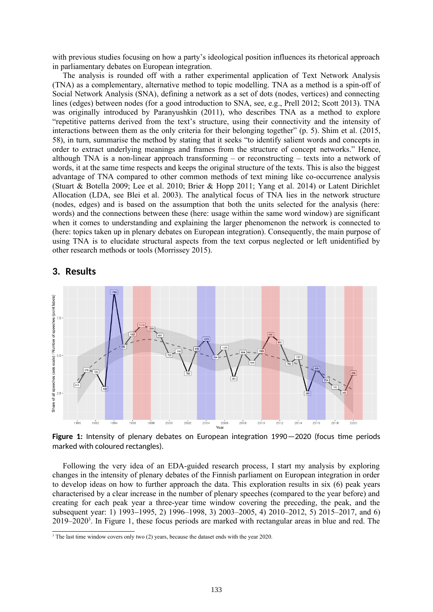with previous studies focusing on how a party's ideological position influences its rhetorical approach in parliamentary debates on European integration.

The analysis is rounded off with a rather experimental application of Text Network Analysis (TNA) as a complementary, alternative method to topic modelling. TNA as a method is a spin-off of Social Network Analysis (SNA), defining a network as a set of dots (nodes, vertices) and connecting lines (edges) between nodes (for a good introduction to SNA, see, e.g., Prell 2012; Scott 2013). TNA was originally introduced by Paranyushkin (2011), who describes TNA as a method to explore "repetitive patterns derived from the text's structure, using their connectivity and the intensity of interactions between them as the only criteria for their belonging together" (p. 5). Shim et al. (2015, 58), in turn, summarise the method by stating that it seeks "to identify salient words and concepts in order to extract underlying meanings and frames from the structure of concept networks." Hence, although TNA is a non-linear approach transforming – or reconstructing – texts into a network of words, it at the same time respects and keeps the original structure of the texts. This is also the biggest advantage of TNA compared to other common methods of text mining like co-occurrence analysis (Stuart & Botella 2009; Lee et al. 2010; Brier & Hopp 2011; Yang et al. 2014) or Latent Dirichlet Allocation (LDA, see Blei et al. 2003). The analytical focus of TNA lies in the network structure (nodes, edges) and is based on the assumption that both the units selected for the analysis (here: words) and the connections between these (here: usage within the same word window) are significant when it comes to understanding and explaining the larger phenomenon the network is connected to (here: topics taken up in plenary debates on European integration). Consequently, the main purpose of using TNA is to elucidate structural aspects from the text corpus neglected or left unidentified by other research methods or tools (Morrissey 2015).

## **3. Results**



<span id="page-4-0"></span>**Figure 1:** Intensity of plenary debates on European integration 1990—2020 (focus time periods marked with coloured rectangles).

Following the very idea of an EDA-guided research process, I start my analysis by exploring changes in the intensity of plenary debates of the Finnish parliament on European integration in order to develop ideas on how to further approach the data. This exploration results in six (6) peak years characterised by a clear increase in the number of plenary speeches (compared to the year before) and creating for each peak year a three-year time window covering the preceding, the peak, and the subsequent year: 1) 1993–1995, 2) 1996–1998, 3) 2003–2005, 4) 2010–2012, 5) 2015–2017, and 6)  $2019-2020^3$  $2019-2020^3$ . In [Figure 1](#page-4-0), these focus periods are marked with rectangular areas in blue and red. The

<span id="page-4-2"></span><span id="page-4-1"></span><sup>&</sup>lt;sup>[3](#page-4-1)</sup> The last time window covers only two (2) years, because the dataset ends with the year 2020.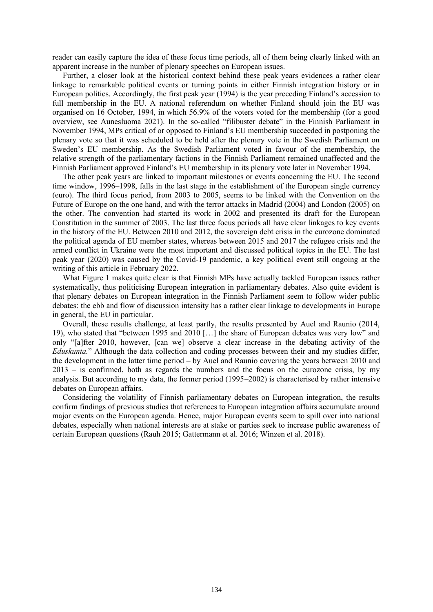reader can easily capture the idea of these focus time periods, all of them being clearly linked with an apparent increase in the number of plenary speeches on European issues.

Further, a closer look at the historical context behind these peak years evidences a rather clear linkage to remarkable political events or turning points in either Finnish integration history or in European politics. Accordingly, the first peak year (1994) is the year preceding Finland's accession to full membership in the EU. A national referendum on whether Finland should join the EU was organised on 16 October, 1994, in which 56.9% of the voters voted for the membership (for a good overview, see Aunesluoma 2021). In the so-called "filibuster debate" in the Finnish Parliament in November 1994, MPs critical of or opposed to Finland's EU membership succeeded in postponing the plenary vote so that it was scheduled to be held after the plenary vote in the Swedish Parliament on Sweden's EU membership. As the Swedish Parliament voted in favour of the membership, the relative strength of the parliamentary factions in the Finnish Parliament remained unaffected and the Finnish Parliament approved Finland's EU membership in its plenary vote later in November 1994.

The other peak years are linked to important milestones or events concerning the EU. The second time window, 1996–1998, falls in the last stage in the establishment of the European single currency (euro). The third focus period, from 2003 to 2005, seems to be linked with the Convention on the Future of Europe on the one hand, and with the terror attacks in Madrid (2004) and London (2005) on the other. The convention had started its work in 2002 and presented its draft for the European Constitution in the summer of 2003. The last three focus periods all have clear linkages to key events in the history of the EU. Between 2010 and 2012, the sovereign debt crisis in the eurozone dominated the political agenda of EU member states, whereas between 2015 and 2017 the refugee crisis and the armed conflict in Ukraine were the most important and discussed political topics in the EU. The last peak year (2020) was caused by the Covid-19 pandemic, a key political event still ongoing at the writing of this article in February 2022.

What [Figure 1](#page-4-0) makes quite clear is that Finnish MPs have actually tackled European issues rather systematically, thus politicising European integration in parliamentary debates. Also quite evident is that plenary debates on European integration in the Finnish Parliament seem to follow wider public debates: the ebb and flow of discussion intensity has a rather clear linkage to developments in Europe in general, the EU in particular.

Overall, these results challenge, at least partly, the results presented by Auel and Raunio (2014, 19), who stated that "between 1995 and 2010 […] the share of European debates was very low" and only "[a]fter 2010, however, [can we] observe a clear increase in the debating activity of the *Eduskunta.*" Although the data collection and coding processes between their and my studies differ, the development in the latter time period – by Auel and Raunio covering the years between 2010 and 2013 – is confirmed, both as regards the numbers and the focus on the eurozone crisis, by my analysis. But according to my data, the former period (1995–2002) is characterised by rather intensive debates on European affairs.

Considering the volatility of Finnish parliamentary debates on European integration, the results confirm findings of previous studies that references to European integration affairs accumulate around major events on the European agenda. Hence, major European events seem to spill over into national debates, especially when national interests are at stake or parties seek to increase public awareness of certain European questions (Rauh 2015; Gattermann et al. 2016; Winzen et al. 2018).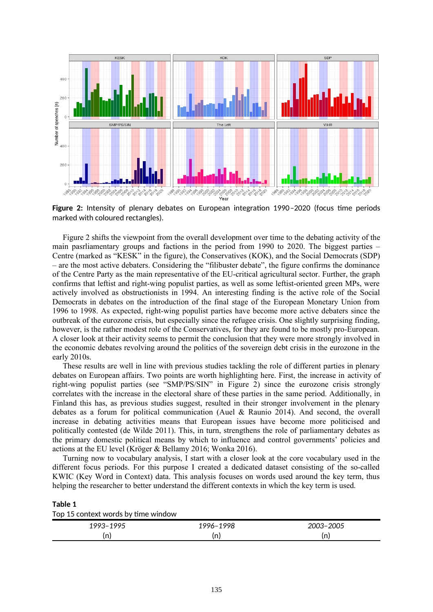

<span id="page-6-0"></span>**Figure 2:** Intensity of plenary debates on European integration 1990–2020 (focus time periods marked with coloured rectangles).

[Figure 2](#page-6-0) shifts the viewpoint from the overall development over time to the debating activity of the main pasrliamentary groups and factions in the period from 1990 to 2020. The biggest parties – Centre (marked as "KESK" in the figure), the Conservatives (KOK), and the Social Democrats (SDP) – are the most active debaters. Considering the "filibuster debate", the figure confirms the dominance of the Centre Party as the main representative of the EU-critical agricultural sector. Further, the graph confirms that leftist and right-wing populist parties, as well as some leftist-oriented green MPs, were actively involved as obstructionists in 1994. An interesting finding is the active role of the Social Democrats in debates on the introduction of the final stage of the European Monetary Union from 1996 to 1998. As expected, right-wing populist parties have become more active debaters since the outbreak of the eurozone crisis, but especially since the refugee crisis. One slightly surprising finding, however, is the rather modest role of the Conservatives, for they are found to be mostly pro-European. A closer look at their activity seems to permit the conclusion that they were more strongly involved in the economic debates revolving around the politics of the sovereign debt crisis in the eurozone in the early 2010s.

These results are well in line with previous studies tackling the role of different parties in plenary debates on European affairs. Two points are worth highlighting here. First, the increase in activity of right-wing populist parties (see "SMP/PS/SIN" in [Figure 2\)](#page-6-0) since the eurozone crisis strongly correlates with the increase in the electoral share of these parties in the same period. Additionally, in Finland this has, as previous studies suggest, resulted in their stronger involvement in the plenary debates as a forum for political communication (Auel & Raunio 2014). And second, the overall increase in debating activities means that European issues have become more politicised and politically contested (de Wilde 2011). This, in turn, strengthens the role of parliamentary debates as the primary domestic political means by which to influence and control governments' policies and actions at the EU level (Kröger & Bellamy 2016; Wonka 2016).

Turning now to vocabulary analysis, I start with a closer look at the core vocabulary used in the different focus periods. For this purpose I created a dedicated dataset consisting of the so-called KWIC (Key Word in Context) data. This analysis focuses on words used around the key term, thus helping the researcher to better understand the different contexts in which the key term is used.

<span id="page-6-1"></span>

| Table 1                             |  |
|-------------------------------------|--|
| Top 15 context words by time window |  |

| 100F<br>uu<br>' <_<br>. . | 998<br>1996– | 0.005<br>כטני |
|---------------------------|--------------|---------------|
| (n)                       | n<br>U L     | <br>(II)      |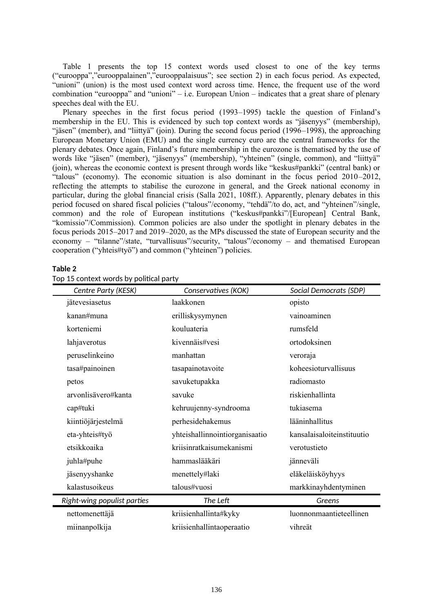[Table 1](#page-6-1) presents the top 15 context words used closest to one of the key terms ("eurooppa","eurooppalainen","eurooppalaisuus"; see section 2) in each focus period. As expected, "unioni" (union) is the most used context word across time. Hence, the frequent use of the word combination "eurooppa" and "unioni" – i.e. European Union – indicates that a great share of plenary speeches deal with the EU.

Plenary speeches in the first focus period (1993–1995) tackle the question of Finland's membership in the EU. This is evidenced by such top context words as "jäsenyys" (membership), "jäsen" (member), and "liittyä" (join). During the second focus period (1996–1998), the approaching European Monetary Union (EMU) and the single currency euro are the central frameworks for the plenary debates. Once again, Finland's future membership in the eurozone is thematised by the use of words like "jäsen" (member), "jäsenyys" (membership), "yhteinen" (single, common), and "liittyä" (join), whereas the economic context is present through words like "keskus#pankki" (central bank) or "talous" (economy). The economic situation is also dominant in the focus period 2010–2012, reflecting the attempts to stabilise the eurozone in general, and the Greek national economy in particular, during the global financial crisis (Salla 2021, 108ff.). Apparently, plenary debates in this period focused on shared fiscal policies ("talous"/economy, "tehdä"/to do, act, and "yhteinen"/single, common) and the role of European institutions ("keskus#pankki"/[European] Central Bank, "komissio"/Commission). Common policies are also under the spotlight in plenary debates in the focus periods 2015–2017 and 2019–2020, as the MPs discussed the state of European security and the economy – "tilanne"/state, "turvallisuus"/security, "talous"/economy – and thematised European cooperation ("yhteis#työ") and common ("yhteinen") policies.

#### <span id="page-7-0"></span>**Table 2**

| Centre Party (KESK)         | Conservatives (KOK)            | Social Democrats (SDP)     |
|-----------------------------|--------------------------------|----------------------------|
| jätevesiasetus              | laakkonen                      | opisto                     |
| kanan#muna                  | erilliskysymynen               | vainoaminen                |
| korteniemi                  | kouluateria                    | rumsfeld                   |
| lahjaverotus                | kivennäis#vesi                 | ortodoksinen               |
| peruselinkeino              | manhattan                      | veroraja                   |
| tasa#painoinen              | tasapainotavoite               | koheesioturvallisuus       |
| petos                       | savuketupakka                  | radiomasto                 |
| arvonlisävero#kanta         | savuke                         | riskienhallinta            |
| cap#tuki                    | kehruujenny-syndrooma          | tukiasema                  |
| kiintiöjärjestelmä          | perhesidehakemus               | lääninhallitus             |
| eta-yhteis#työ              | yhteishallinnointiorganisaatio | kansalaisaloiteinstituutio |
| etsikkoaika                 | kriisinratkaisumekanismi       | verotustieto               |
| juhla#puhe                  | hammaslääkäri                  | jänneväli                  |
| jäsenyyshanke               | menettely#laki                 | eläkeläisköyhyys           |
| kalastusoikeus              | talous#vuosi                   | markkinayhdentyminen       |
| Right-wing populist parties | The Left                       | Greens                     |
| nettomenettäjä              | kriisienhallinta#kyky          | luonnonmaantieteellinen    |
| miinanpolkija               | kriisienhallintaoperaatio      | vihreät                    |

Top 15 context words by political party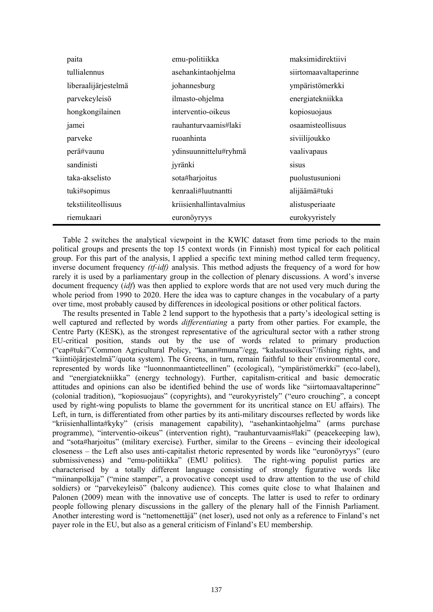| paita                | emu-politiikka          | maksimidirektiivi     |
|----------------------|-------------------------|-----------------------|
| tullialennus         | asehankintaohjelma      | siirtomaavaltaperinne |
| liberaalijärjestelmä | johannesburg            | ympäristömerkki       |
| parvekeyleisö        | ilmasto-ohjelma         | energiatekniikka      |
| hongkongilainen      | interventio-oikeus      | kopiosuojaus          |
| jamei                | rauhanturvaamis#laki    | osaamisteollisuus     |
| parveke              | ruoanhinta              | siviilijoukko         |
| perä#vaunu           | ydinsuunnittelu#ryhmä   | vaalivapaus           |
| sandinisti           | jyränki                 | sisus                 |
| taka-akselisto       | sota#harjoitus          | puolustusunioni       |
| tuki#sopimus         | kenraali#luutnantti     | alijäämä#tuki         |
| tekstiiliteollisuus  | kriisienhallintavalmius | alistusperiaate       |
| riemukaari           | euronöyryys             | eurokyyristely        |

[Table 2](#page-7-0) switches the analytical viewpoint in the KWIC dataset from time periods to the main political groups and presents the top 15 context words (in Finnish) most typical for each political group. For this part of the analysis, I applied a specific text mining method called term frequency, inverse document frequency *(tf-idf)* analysis. This method adjusts the frequency of a word for how rarely it is used by a parliamentary group in the collection of plenary discussions. A word's inverse document frequency (*idf*) was then applied to explore words that are not used very much during the whole period from 1990 to 2020. Here the idea was to capture changes in the vocabulary of a party over time, most probably caused by differences in ideological positions or other political factors.

The results presented in [Table 2](#page-7-0) lend support to the hypothesis that a party's ideological setting is well captured and reflected by words *differentiating* a party from other parties. For example, the Centre Party (KESK), as the strongest representative of the agricultural sector with a rather strong EU-critical position, stands out by the use of words related to primary production ("cap#tuki"/Common Agricultural Policy, "kanan#muna"/egg, "kalastusoikeus"/fishing rights, and "kiintiöjärjestelmä"/quota system). The Greens, in turn, remain faithful to their environmental core, represented by words like "luonnonmaantieteellinen" (ecological), "ympäristömerkki" (eco-label), and "energiatekniikka" (energy technology). Further, capitalism-critical and basic democratic attitudes and opinions can also be identified behind the use of words like "siirtomaavaltaperinne" (colonial tradition), "kopiosuojaus" (copyrights), and "eurokyyristely" ("euro crouching", a concept used by right-wing populists to blame the government for its uncritical stance on EU affairs). The Left, in turn, is differentiated from other parties by its anti-military discourses reflected by words like "kriisienhallinta#kyky" (crisis management capability), "asehankintaohjelma" (arms purchase programme), "interventio-oikeus" (intervention right), "rauhanturvaamis#laki" (peacekeeping law), and "sota#harjoitus" (military exercise). Further, similar to the Greens – evincing their ideological closeness – the Left also uses anti-capitalist rhetoric represented by words like "euronöyryys" (euro submissiveness) and "emu-politiikka" (EMU politics). The right-wing populist parties are characterised by a totally different language consisting of strongly figurative words like "miinanpolkija" ("mine stamper", a provocative concept used to draw attention to the use of child soldiers) or "parvekeyleisö" (balcony audience). This comes quite close to what Ihalainen and Palonen (2009) mean with the innovative use of concepts. The latter is used to refer to ordinary people following plenary discussions in the gallery of the plenary hall of the Finnish Parliament. Another interesting word is "nettomenettäjä" (net loser), used not only as a reference to Finland's net payer role in the EU, but also as a general criticism of Finland's EU membership.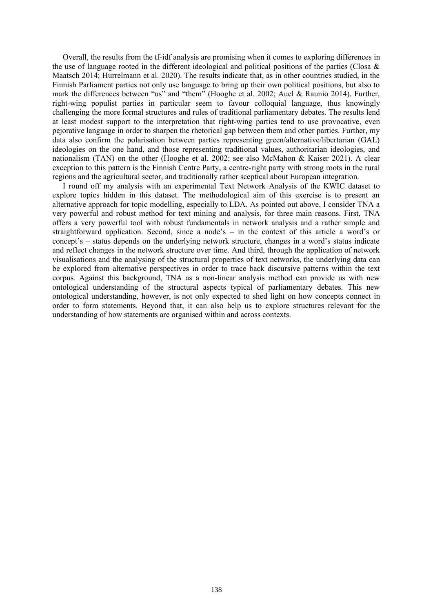Overall, the results from the tf-idf analysis are promising when it comes to exploring differences in the use of language rooted in the different ideological and political positions of the parties (Closa & Maatsch 2014; Hurrelmann et al. 2020). The results indicate that, as in other countries studied, in the Finnish Parliament parties not only use language to bring up their own political positions, but also to mark the differences between "us" and "them" (Hooghe et al. 2002; Auel & Raunio 2014). Further, right-wing populist parties in particular seem to favour colloquial language, thus knowingly challenging the more formal structures and rules of traditional parliamentary debates. The results lend at least modest support to the interpretation that right-wing parties tend to use provocative, even pejorative language in order to sharpen the rhetorical gap between them and other parties. Further, my data also confirm the polarisation between parties representing green/alternative/libertarian (GAL) ideologies on the one hand, and those representing traditional values, authoritarian ideologies, and nationalism (TAN) on the other (Hooghe et al. 2002; see also McMahon & Kaiser 2021). A clear exception to this pattern is the Finnish Centre Party, a centre-right party with strong roots in the rural regions and the agricultural sector, and traditionally rather sceptical about European integration.

I round off my analysis with an experimental Text Network Analysis of the KWIC dataset to explore topics hidden in this dataset. The methodological aim of this exercise is to present an alternative approach for topic modelling, especially to LDA. As pointed out above, I consider TNA a very powerful and robust method for text mining and analysis, for three main reasons. First, TNA offers a very powerful tool with robust fundamentals in network analysis and a rather simple and straightforward application. Second, since a node's – in the context of this article a word's or concept's – status depends on the underlying network structure, changes in a word's status indicate and reflect changes in the network structure over time. And third, through the application of network visualisations and the analysing of the structural properties of text networks, the underlying data can be explored from alternative perspectives in order to trace back discursive patterns within the text corpus. Against this background, TNA as a non-linear analysis method can provide us with new ontological understanding of the structural aspects typical of parliamentary debates. This new ontological understanding, however, is not only expected to shed light on how concepts connect in order to form statements. Beyond that, it can also help us to explore structures relevant for the understanding of how statements are organised within and across contexts.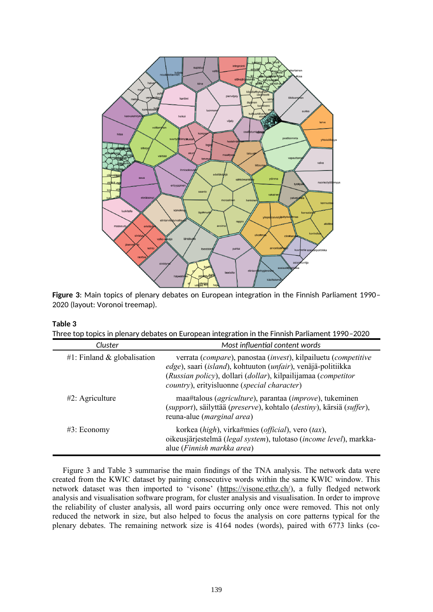

<span id="page-10-1"></span>**Figure 3**: Main topics of plenary debates on European integration in the Finnish Parliament 1990– 2020 (layout: Voronoi treemap).

### <span id="page-10-0"></span>**Table 3**

| Three top topics in plenary debates on European integration in the Finnish Parliament 1990-2020 |
|-------------------------------------------------------------------------------------------------|
|-------------------------------------------------------------------------------------------------|

| Cluster                     | Most influential content words                                                                                                                                                                                                                 |
|-----------------------------|------------------------------------------------------------------------------------------------------------------------------------------------------------------------------------------------------------------------------------------------|
| #1: Finland & globalisation | verrata (compare), panostaa (invest), kilpailuetu (competitive<br>edge), saari (island), kohtuuton (unfair), venäjä-politiikka<br>(Russian policy), dollari (dollar), kilpailijamaa (competitor<br>country), erityisluonne (special character) |
| $#2$ : Agriculture          | maa#talous ( <i>agriculture</i> ), parantaa ( <i>improve</i> ), tukeminen<br>(support), säilyttää (preserve), kohtalo (destiny), kärsiä (suffer),<br>reuna-alue ( <i>marginal area</i> )                                                       |
| $#3$ : Economy              | korkea (high), virka#mies (official), vero (tax),<br>oikeusjärjestelmä (legal system), tulotaso (income level), markka-<br>alue (Finnish markka area)                                                                                          |

[Figure 3](#page-10-1) and [Table 3](#page-10-0) summarise the main findings of the TNA analysis. The network data were created from the KWIC dataset by pairing consecutive words within the same KWIC window. This network dataset was then imported to 'visone' (<https://visone.ethz.ch/>), a fully fledged network analysis and visualisation software program, for cluster analysis and visualisation. In order to improve the reliability of cluster analysis, all word pairs occurring only once were removed. This not only reduced the network in size, but also helped to focus the analysis on core patterns typical for the plenary debates. The remaining network size is 4164 nodes (words), paired with 6773 links (co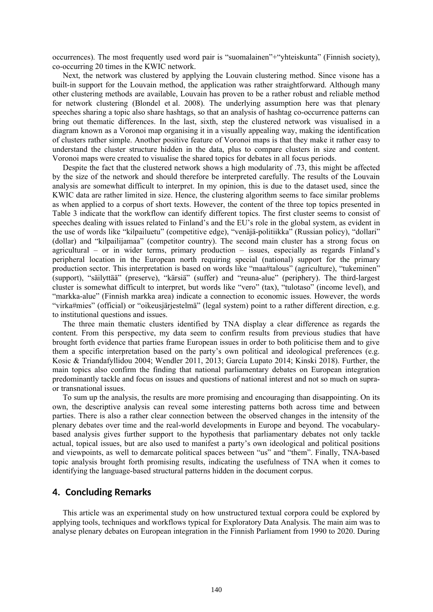occurrences). The most frequently used word pair is "suomalainen"+"yhteiskunta" (Finnish society), co-occurring 20 times in the KWIC network.

Next, the network was clustered by applying the Louvain clustering method. Since visone has a built-in support for the Louvain method, the application was rather straightforward. Although many other clustering methods are available, Louvain has proven to be a rather robust and reliable method for network clustering (Blondel et al. 2008). The underlying assumption here was that plenary speeches sharing a topic also share hashtags, so that an analysis of hashtag co-occurrence patterns can bring out thematic differences. In the last, sixth, step the clustered network was visualised in a diagram known as a Voronoi map organising it in a visually appealing way, making the identification of clusters rather simple. Another positive feature of Voronoi maps is that they make it rather easy to understand the cluster structure hidden in the data, plus to compare clusters in size and content. Voronoi maps were created to visualise the shared topics for debates in all focus periods.

Despite the fact that the clustered network shows a high modularity of .73, this might be affected by the size of the network and should therefore be interpreted carefully. The results of the Louvain analysis are somewhat difficult to interpret. In my opinion, this is due to the dataset used, since the KWIC data are rather limited in size. Hence, the clustering algorithm seems to face similar problems as when applied to a corpus of short texts. However, the content of the three top topics presented in [Table 3](#page-10-0) indicate that the workflow can identify different topics. The first cluster seems to consist of speeches dealing with issues related to Finland's and the EU's role in the global system, as evident in the use of words like "kilpailuetu" (competitive edge), "venäjä-politiikka" (Russian policy), "dollari" (dollar) and "kilpailijamaa" (competitor country). The second main cluster has a strong focus on agricultural – or in wider terms, primary production – issues, especially as regards Finland's peripheral location in the European north requiring special (national) support for the primary production sector. This interpretation is based on words like "maa#talous" (agriculture), "tukeminen" (support), "säilyttää" (preserve), "kärsiä" (suffer) and "reuna-alue" (periphery). The third-largest cluster is somewhat difficult to interpret, but words like "vero" (tax), "tulotaso" (income level), and "markka-alue" (Finnish markka area) indicate a connection to economic issues. However, the words "virka#mies" (official) or "oikeusjärjestelmä" (legal system) point to a rather different direction, e.g. to institutional questions and issues.

The three main thematic clusters identified by TNA display a clear difference as regards the content. From this perspective, my data seem to confirm results from previous studies that have brought forth evidence that parties frame European issues in order to both politicise them and to give them a specific interpretation based on the party's own political and ideological preferences (e.g. Kosic & Triandafyllidou 2004; Wendler 2011, 2013; García Lupato 2014; Kinski 2018). Further, the main topics also confirm the finding that national parliamentary debates on European integration predominantly tackle and focus on issues and questions of national interest and not so much on supraor transnational issues.

To sum up the analysis, the results are more promising and encouraging than disappointing. On its own, the descriptive analysis can reveal some interesting patterns both across time and between parties. There is also a rather clear connection between the observed changes in the intensity of the plenary debates over time and the real-world developments in Europe and beyond. The vocabularybased analysis gives further support to the hypothesis that parliamentary debates not only tackle actual, topical issues, but are also used to manifest a party's own ideological and political positions and viewpoints, as well to demarcate political spaces between "us" and "them". Finally, TNA-based topic analysis brought forth promising results, indicating the usefulness of TNA when it comes to identifying the language-based structural patterns hidden in the document corpus.

## **4. Concluding Remarks**

This article was an experimental study on how unstructured textual corpora could be explored by applying tools, techniques and workflows typical for Exploratory Data Analysis. The main aim was to analyse plenary debates on European integration in the Finnish Parliament from 1990 to 2020. During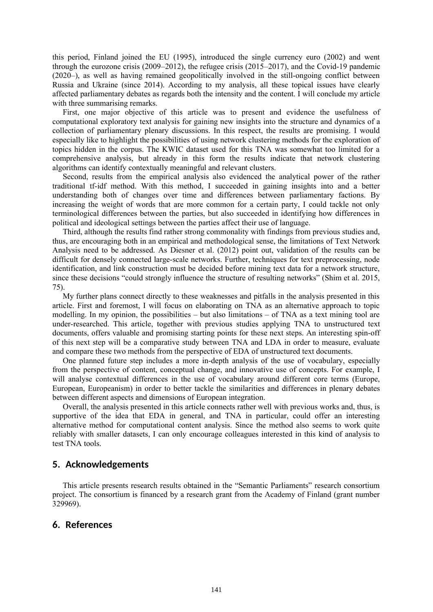this period, Finland joined the EU (1995), introduced the single currency euro (2002) and went through the eurozone crisis (2009–2012), the refugee crisis (2015–2017), and the Covid-19 pandemic (2020–), as well as having remained geopolitically involved in the still-ongoing conflict between Russia and Ukraine (since 2014). According to my analysis, all these topical issues have clearly affected parliamentary debates as regards both the intensity and the content. I will conclude my article with three summarising remarks.

First, one major objective of this article was to present and evidence the usefulness of computational exploratory text analysis for gaining new insights into the structure and dynamics of a collection of parliamentary plenary discussions. In this respect, the results are promising. I would especially like to highlight the possibilities of using network clustering methods for the exploration of topics hidden in the corpus. The KWIC dataset used for this TNA was somewhat too limited for a comprehensive analysis, but already in this form the results indicate that network clustering algorithms can identify contextually meaningful and relevant clusters.

Second, results from the empirical analysis also evidenced the analytical power of the rather traditional tf-idf method. With this method, I succeeded in gaining insights into and a better understanding both of changes over time and differences between parliamentary factions. By increasing the weight of words that are more common for a certain party, I could tackle not only terminological differences between the parties, but also succeeded in identifying how differences in political and ideological settings between the parties affect their use of language.

Third, although the results find rather strong commonality with findings from previous studies and, thus, are encouraging both in an empirical and methodological sense, the limitations of Text Network Analysis need to be addressed. As Diesner et al. (2012) point out, validation of the results can be difficult for densely connected large-scale networks. Further, techniques for text preprocessing, node identification, and link construction must be decided before mining text data for a network structure, since these decisions "could strongly influence the structure of resulting networks" (Shim et al. 2015, 75).

My further plans connect directly to these weaknesses and pitfalls in the analysis presented in this article. First and foremost, I will focus on elaborating on TNA as an alternative approach to topic modelling. In my opinion, the possibilities – but also limitations – of TNA as a text mining tool are under-researched. This article, together with previous studies applying TNA to unstructured text documents, offers valuable and promising starting points for these next steps. An interesting spin-off of this next step will be a comparative study between TNA and LDA in order to measure, evaluate and compare these two methods from the perspective of EDA of unstructured text documents.

One planned future step includes a more in-depth analysis of the use of vocabulary, especially from the perspective of content, conceptual change, and innovative use of concepts. For example, I will analyse contextual differences in the use of vocabulary around different core terms (Europe, European, Europeanism) in order to better tackle the similarities and differences in plenary debates between different aspects and dimensions of European integration.

Overall, the analysis presented in this article connects rather well with previous works and, thus, is supportive of the idea that EDA in general, and TNA in particular, could offer an interesting alternative method for computational content analysis. Since the method also seems to work quite reliably with smaller datasets, I can only encourage colleagues interested in this kind of analysis to test TNA tools.

## **5. Acknowledgements**

This article presents research results obtained in the "Semantic Parliaments" research consortium project. The consortium is financed by a research grant from the Academy of Finland (grant number 329969).

## **6. References**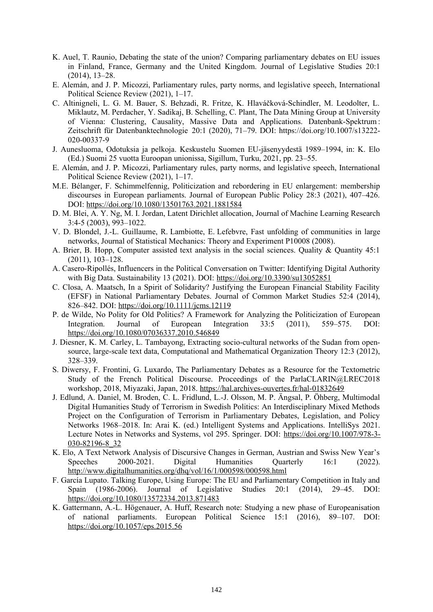- K. Auel, T. Raunio, Debating the state of the union? Comparing parliamentary debates on EU issues in Finland, France, Germany and the United Kingdom. Journal of Legislative Studies 20:1 (2014), 13–28.
- E. Alemán, and J. P. Micozzi, Parliamentary rules, party norms, and legislative speech, International Political Science Review (2021), 1–17.
- C. Altinigneli, L. G. M. Bauer, S. Behzadi, R. Fritze, K. Hlaváčková-Schindler, M. Leodolter, L. Miklautz, M. Perdacher, Y. Sadikaj, B. Schelling, C. Plant, The Data Mining Group at University of Vienna: Clustering, Causality, Massive Data and Applications. Datenbank-Spektrum : Zeitschrift für Datenbanktechnologie 20:1 (2020), 71–79. DOI: https://doi.org/10.1007/s13222- 020-00337-9
- J. Aunesluoma, Odotuksia ja pelkoja. Keskustelu Suomen EU-jäsenyydestä 1989–1994, in: K. Elo (Ed.) Suomi 25 vuotta Euroopan unionissa, Sigillum, Turku, 2021, pp. 23–55.
- E. Alemán, and J. P. Micozzi, Parliamentary rules, party norms, and legislative speech, International Political Science Review (2021), 1–17.
- M.E. Bélanger, F. Schimmelfennig, Politicization and rebordering in EU enlargement: membership discourses in European parliaments. Journal of European Public Policy 28:3 (2021), 407–426. DOI: <https://doi.org/10.1080/13501763.2021.1881584>
- D. M. Blei, A. Y. Ng, M. I. Jordan, Latent Dirichlet allocation, Journal of Machine Learning Research 3:4-5 (2003), 993–1022.
- V. D. Blondel, J.-L. Guillaume, R. Lambiotte, E. Lefebvre, Fast unfolding of communities in large networks, Journal of Statistical Mechanics: Theory and Experiment P10008 (2008).
- A. Brier, B. Hopp, Computer assisted text analysis in the social sciences. Quality & Quantity 45:1 (2011), 103–128.
- A. Casero-Ripollés, Influencers in the Political Conversation on Twitter: Identifying Digital Authority with Big Data. Sustainability 13 (2021). DOI: <https://doi.org/10.3390/su13052851>
- C. Closa, A. Maatsch, In a Spirit of Solidarity? Justifying the European Financial Stability Facility (EFSF) in National Parliamentary Debates. Journal of Common Market Studies 52:4 (2014), 826–842. DOI: <https://doi.org/10.1111/jcms.12119>
- P. de Wilde, No Polity for Old Politics? A Framework for Analyzing the Politicization of European Integration. Journal of European Integration 33:5 (2011), 559–575. DOI: <https://doi.org/10.1080/07036337.2010.546849>
- J. Diesner, K. M. Carley, L. Tambayong, Extracting socio-cultural networks of the Sudan from opensource, large-scale text data, Computational and Mathematical Organization Theory 12:3 (2012), 328–339.
- S. Diwersy, F. Frontini, G. Luxardo, The Parliamentary Debates as a Resource for the Textometric Study of the French Political Discourse. Proceedings of the ParlaCLARIN@LREC2018 workshop, 2018, Miyazaki, Japan, 2018. <https://hal.archives-ouvertes.fr/hal-01832649>
- J. Edlund, A. Daniel, M. Broden, C. L. Fridlund, L.-J. Olsson, M. P. Ängsal, P. Öhberg, Multimodal Digital Humanities Study of Terrorism in Swedish Politics: An Interdisciplinary Mixed Methods Project on the Configuration of Terrorism in Parliamentary Debates, Legislation, and Policy Networks 1968–2018. In: Arai K. (ed.) Intelligent Systems and Applications. IntelliSys 2021. Lecture Notes in Networks and Systems, vol 295. Springer. DOI: [https://doi.org/10.1007/978-3-](https://doi.org/10.1007/978-3-030-82196-8_32) [030-82196-8\\_32](https://doi.org/10.1007/978-3-030-82196-8_32)
- K. Elo, A Text Network Analysis of Discursive Changes in German, Austrian and Swiss New Year's Speeches 2000-2021. Digital Humanities Ouarterly 16:1 (2022). <http://www.digitalhumanities.org/dhq/vol/16/1/000598/000598.html>
- F. García Lupato. Talking Europe, Using Europe: The EU and Parliamentary Competition in Italy and Spain (1986-2006). Journal of Legislative Studies 20:1 (2014), 29–45. DOI: <https://doi.org/10.1080/13572334.2013.871483>
- K. Gattermann, A.-L. Högenauer, A. Huff, Research note: Studying a new phase of Europeanisation of national parliaments. European Political Science 15:1 (2016), 89–107. DOI: <https://doi.org/10.1057/eps.2015.56>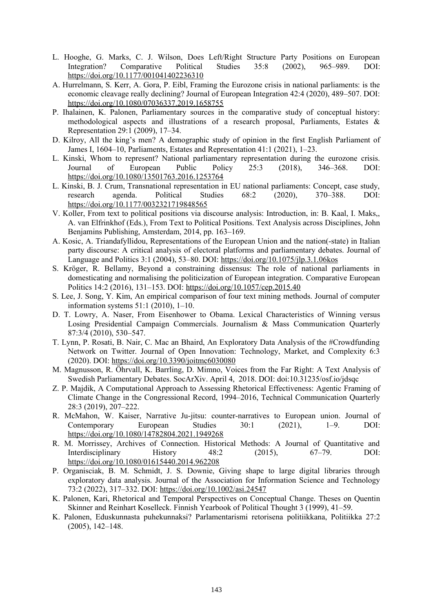- L. Hooghe, G. Marks, C. J. Wilson, Does Left/Right Structure Party Positions on European Integration? Comparative Political Studies 35:8 (2002), 965–989. DOI: <https://doi.org/10.1177/001041402236310>
- A. Hurrelmann, S. Kerr, A. Gora, P. Eibl, Framing the Eurozone crisis in national parliaments: is the economic cleavage really declining? Journal of European Integration 42:4 (2020), 489–507. DOI: <https://doi.org/10.1080/07036337.2019.1658755>
- P. Ihalainen, K. Palonen, Parliamentary sources in the comparative study of conceptual history: methodological aspects and illustrations of a research proposal, Parliaments, Estates & Representation 29:1 (2009), 17–34.
- D. Kilroy, All the king's men? A demographic study of opinion in the first English Parliament of James I, 1604–10, Parliaments, Estates and Representation 41:1 (2021), 1–23.
- L. Kinski, Whom to represent? National parliamentary representation during the eurozone crisis. Journal of European Public Policy 25:3 (2018), 346–368. DOI: <https://doi.org/10.1080/13501763.2016.1253764>
- L. Kinski, B. J. Crum, Transnational representation in EU national parliaments: Concept, case study, research agenda. Political Studies 68:2 (2020), 370–388. DOI: <https://doi.org/10.1177/0032321719848565>
- V. Koller, From text to political positions via discourse analysis: Introduction, in: B. Kaal, I. Maks,, A. van Elfrinkhof (Eds.), From Text to Political Positions. Text Analysis across Disciplines, John Benjamins Publishing, Amsterdam, 2014, pp. 163–169.
- A. Kosic, A. Triandafyllidou, Representations of the European Union and the nation(-state) in Italian party discourse: A critical analysis of electoral platforms and parliamentary debates. Journal of Language and Politics 3:1 (2004), 53–80. DOI: <https://doi.org/10.1075/jlp.3.1.06kos>
- S. Kröger, R. Bellamy, Beyond a constraining dissensus: The role of national parliaments in domesticating and normalising the politicization of European integration. Comparative European Politics 14:2 (2016), 131–153. DOI: <https://doi.org/10.1057/cep.2015.40>
- S. Lee, J. Song, Y. Kim, An empirical comparison of four text mining methods. Journal of computer information systems 51:1 (2010), 1–10.
- D. T. Lowry, A. Naser, From Eisenhower to Obama. Lexical Characteristics of Winning versus Losing Presidential Campaign Commercials. Journalism & Mass Communication Quarterly 87:3/4 (2010), 530–547.
- T. Lynn, P. Rosati, B. Nair, C. Mac an Bhaird, An Exploratory Data Analysis of the #Crowdfunding Network on Twitter. Journal of Open Innovation: Technology, Market, and Complexity 6:3 (2020). DOI:<https://doi.org/10.3390/joitmc6030080>
- M. Magnusson, R. Öhrvall, K. Barrling, D. Mimno, Voices from the Far Right: A Text Analysis of Swedish Parliamentary Debates. SocArXiv. April 4, 2018. DOI: doi:10.31235/osf.io/jdsqc
- Z. P. Majdik, A Computational Approach to Assessing Rhetorical Effectiveness: Agentic Framing of Climate Change in the Congressional Record, 1994–2016, Technical Communication Quarterly 28:3 (2019), 207–222.
- R. McMahon, W. Kaiser, Narrative Ju-jitsu: counter-narratives to European union. Journal of Contemporary European Studies 30:1 (2021), 1–9. DOI: <https://doi.org/10.1080/14782804.2021.1949268>
- R. M. Morrissey, Archives of Connection. Historical Methods: A Journal of Quantitative and Interdisciplinary History 48:2 (2015), 67–79. DOI: <https://doi.org/10.1080/01615440.2014.962208>
- P. Organisciak, B. M. Schmidt, J. S. Downie, Giving shape to large digital libraries through exploratory data analysis. Journal of the Association for Information Science and Technology 73:2 (2022), 317–332. DOI: <https://doi.org/10.1002/asi.24547>
- K. Palonen, Kari, Rhetorical and Temporal Perspectives on Conceptual Change. Theses on Quentin Skinner and Reinhart Koselleck. Finnish Yearbook of Political Thought 3 (1999), 41–59.
- K. Palonen, Eduskunnasta puhekunnaksi? Parlamentarismi retorisena politiikkana, Politiikka 27:2 (2005), 142–148.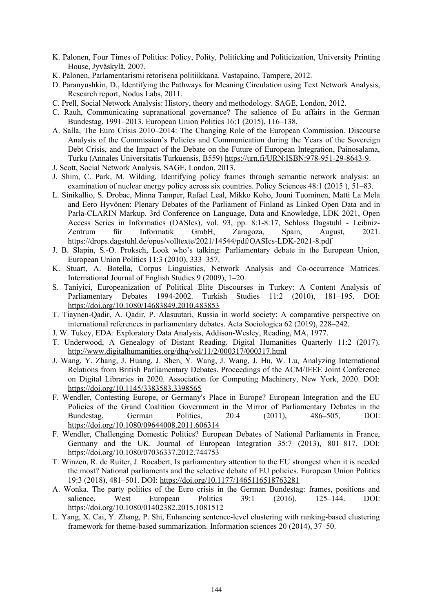- K. Palonen, Four Times of Politics: Policy, Polity, Politicking and Politicization, University Printing House, Jyväskylä, 2007.
- K. Palonen, Parlamentarismi retorisena politiikkana. Vastapaino, Tampere, 2012.
- D. Paranyushkin, D., Identifying the Pathways for Meaning Circulation using Text Network Analysis, Research report, Nodus Labs, 2011.
- C. Prell, Social Network Analysis: History, theory and methodology. SAGE, London, 2012.
- C. Rauh, Communicating supranational governance? The salience of Eu affairs in the German Bundestag, 1991–2013. European Union Politics 16:1 (2015), 116–138.
- A. Salla, The Euro Crisis 2010–2014: The Changing Role of the European Commission. Discourse Analysis of the Commission's Policies and Communication during the Years of the Sovereign Debt Crisis, and the Impact of the Debate on the Future of European Integration, Painosalama, Turku (Annales Universitatis Turkuensis, B559) <https://urn.fi/URN:ISBN:978-951-29-8643-9>.
- J. Scott, Social Network Analysis. SAGE, London, 2013.
- J. Shim, C. Park, M. Wilding, Identifying policy frames through semantic network analysis: an examination of nuclear energy policy across six countries. Policy Sciences 48:1 (2015 ), 51–83.
- L. Sinikallio, S. Drobac, Minna Tamper, Rafael Leal, Mikko Koho, Jouni Tuominen, Matti La Mela and Eero Hyvönen: Plenary Debates of the Parliament of Finland as Linked Open Data and in Parla-CLARIN Markup. 3rd Conference on Language, Data and Knowledge, LDK 2021, Open Access Series in Informatics (OASIcs), vol. 93, pp. 8:1-8:17, Schloss Dagstuhl - Leibniz-Zentrum für Informatik GmbH, Zaragoza, Spain, August, 2021. https://drops.dagstuhl.de/opus/volltexte/2021/14544/pdf/OASIcs-LDK-2021-8.pdf
- J. B. Slapin, S.-O. Proksch, Look who's talking: Parliamentary debate in the European Union, European Union Politics 11:3 (2010), 333–357.
- K. Stuart, A. Botella, Corpus Linguistics, Network Analysis and Co-occurrence Matrices. International Journal of English Studies 9 (2009), 1–20.
- S. Taniyici, Europeanization of Political Elite Discourses in Turkey: A Content Analysis of Parliamentary Debates 1994-2002. Turkish Studies 11:2 (2010), 181–195. DOI: <https://doi.org/10.1080/14683849.2010.483853>
- T. Tiaynen-Qadir, A. Qadir, P. Alasuutari, Russia in world society: A comparative perspective on international references in parliamentary debates. Acta Sociologica 62 (2019), 228–242.
- J. W. Tukey, EDA: Exploratory Data Analysis, Addison-Wesley, Reading, MA, 1977.
- T. Underwood, A Genealogy of Distant Reading. Digital Humanities Quarterly 11:2 (2017). <http://www.digitalhumanities.org/dhq/vol/11/2/000317/000317.html>
- J. Wang, Y. Zhang, J. Huang, J. Shen, Y. Wang, J. Wang, J. Hu, W. Lu, Analyzing International Relations from British Parliamentary Debates. Proceedings of the ACM/IEEE Joint Conference on Digital Libraries in 2020. Association for Computing Machinery, New York, 2020. DOI: <https://doi.org/10.1145/3383583.3398565>
- F. Wendler, Contesting Europe, or Germany's Place in Europe? European Integration and the EU Policies of the Grand Coalition Government in the Mirror of Parliamentary Debates in the Bundestag, German Politics, 20:4 (2011), 486–505, DOI: <https://doi.org/10.1080/09644008.2011.606314>
- F. Wendler, Challenging Domestic Politics? European Debates of National Parliaments in France, Germany and the UK. Journal of European Integration 35:7 (2013), 801–817. DOI: <https://doi.org/10.1080/07036337.2012.744753>
- T. Winzen, R. de Ruiter, J. Rocabert, Is parliamentary attention to the EU strongest when it is needed the most? National parliaments and the selective debate of EU policies. European Union Politics 19:3 (2018), 481–501. DOI: <https://doi.org/10.1177/1465116518763281>
- A. Wonka. The party politics of the Euro crisis in the German Bundestag: frames, positions and salience. West European Politics 39:1 (2016), 125–144. DOI: <https://doi.org/10.1080/01402382.2015.1081512>
- L. Yang, X. Cai, Y. Zhang, P. Shi, Enhancing sentence-level clustering with ranking-based clustering framework for theme-based summarization. Information sciences 20 (2014), 37–50.